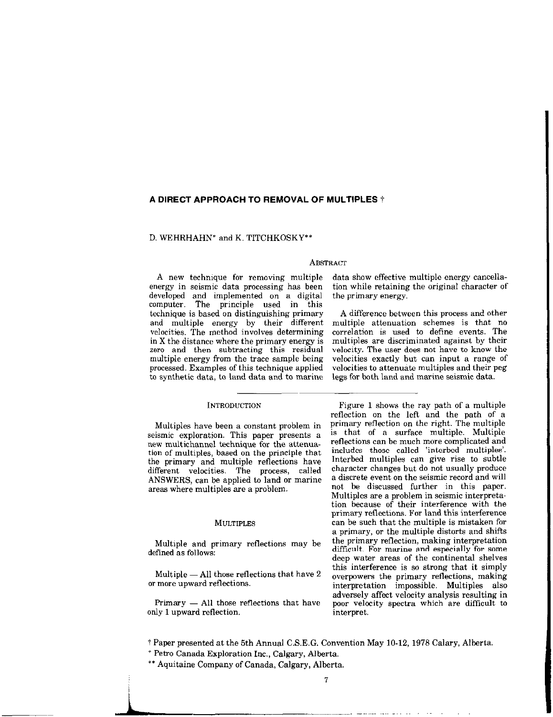## A DIRECT APPROACH TO REMOVAL OF MULTIPLES  $\dagger$

# D. WEHRHAHN\* and K. TITCHKOSKY\*\*

## **ABSTRACT**

A new technique for removing multiple data show effective multiple energy cancellaenergy in seismic data processing has been tion while retaining the original character of developed and implemented on a digital the primary energy. computer. The principle used in this technique is based on distinguishing primary A difference between this process and other<br>and multiple energy by their different multiple attenuation schemes is that no velocities. The method involves determining correlation is used to define events. The in  $X$  the distance where the primary energy is multiples are discriminated against by their in X the distance where the primary energy is multiples are discriminated against by their zero and then subtracting this residual velocity. The user does not have to know the zero and then subtracting this residual multiple energy from the trace sample being. multiple energy from the trace sample being velocities exactly but can input a range of processed. Examples of this technique applied velocities to attenuate multiples and their peg processed. Examples of this technique applied velocities to attenuate multiples and their peg to synthetic data, to land data and to marine legs for both land and marine seismic data.

### INTRODUCTION

Multiples have been a constant problem in seismic exploration. This paper presents a new multichannel technique for the attenuation of multiples, based on the principle that the primary and multiple reflections have different velocities. The process, called ANSWERS, can be applied to land or marine areas where multiples are a problem.

#### MULTIPLES

Multiple and primary reflections may be defined as follows:

Multiple  $-$  All those reflections that have  $2$ or more upward reflections.

 $Primary - All those reflections that have$ only 1 upward reflection.

multiple attenuation schemes is that no legs for both land and marine seismic data.

Figure 1 shows the ray path of a multiple reflection on the left and the path of a primary reflection on the right. The multiple is that of a surface multiple. Multiple reflections can he much more complicated and includes those called 'interbed multiples'. Interbed multiples can give rise to Subtle character changes hut do not usually produce a discrete event on the seismic record and will not be discussed further in this paper. Multiples are a problem in seismic interpretation because of their interference with the primary reflections. For land this interference can be such that the multiple is mistaken for a primary, or the multiple distorts and shifts the primary reflection, making interpretation difficult. For marine and especially for some deep water areas of the continental shelves this interference is so strong that it simply overpowers the primary reflections, making interpretation impossible. Multiples also adversely affect velocity analysis resulting in poor velocity spectra which are difficult to interpret.

i Paper presented at the 5th Annual C.S.E.G. Convention May 10.12, 1978 Calary, Alberta,

\* Petro Canada Exploration Inc., Calgary, Alberta.

\*\* Aquitaine Company of Canada, Calgary, Alberta.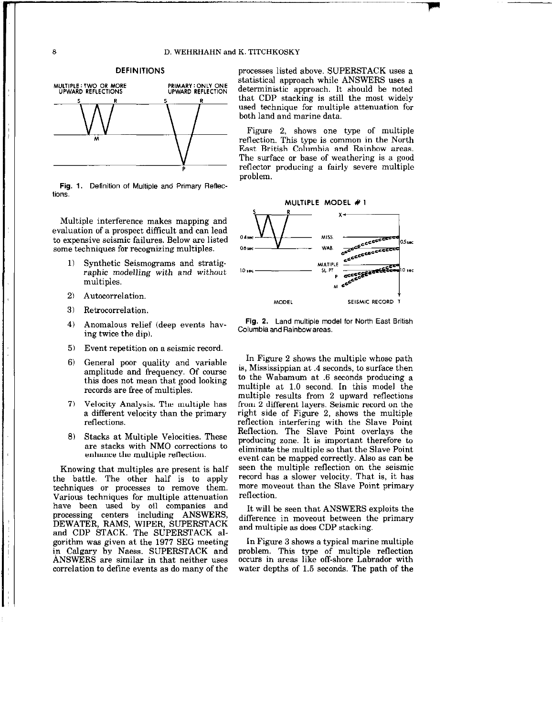

Fig. 1. Definition of Multiple and Primary Reflections.

Multiple interference makes mapping and evaluation of a prospect difficult and can lead to expensive seismic failures, Below are listed some techniques for recognizing multiples.

- 1) Synthetic Seismograms and stratigraphic modelling with and without multiples.
- 
- 3) Retrocorrelation
- Anomalous Terrer (ueep events have Columbia and Rainbow areas.<br>ing twice the dip).
- 5) Event repetition on a seismic record
- 6) General poor quality and variable amplitude and frequency. Of course this does not mean that good looking records are free of multiples.
- 7) Velocity Analysis. The multiple has a different velocity than the primary reflections.
- 8) Stacks at Multiple Velocities. These are stacks with NM0 corrections to enhance the multiple reflection.

Knowing that multiples are present is half the battle. The other half is to apply techniques or processes ta remove them. Various techniques for multiple attenuation have been used by oil companies and processing centers including ANSWERS, processing centers including ANSWERS, difference in moveout between the primary DEWATER, RAMS, WIPER, SUPERSTACK and multiple as does CDP stacking. and CDP STACK. The SUPERSTACK algorithm was given at the 1977 SEG meeting In Figure 3 shows a typical marine multiple in Calgary by Naess. SUPERSTACK and problem. This type of multiple reflection ANSWERS are similar in that neither uses occurs in areas like off-shore Labrador with correlation to define events as do many of the water depths of 1.5 seconds. The path of the

DEFINITIONS processes listed above. SUPERSTACK uses a statistical approach while ANSWERS uses a deterministic approach. It should be noted that CDP stacking is still the most widely used technique for multiple attenuation for both land and marine data.

> Figure 2, shows one type of multiple reflection. This type is common in the North East British Columbia and Rainbow areas. The surface or base of weathering is a good reflector producing a fairly severe multiple problem.



4) Anomalous relief (deep events hav-<br>
Columbia ad Reithermanne

In Figure 2 shows the multiple whose path is, Mississippian at .4 seconds, to surface then to the Wabamum at .6 seconds producing a multiple at 1.0 second. In this model the multiple results from 2 upward reflections from 2 different layers. Seismic record on the right side of Figure 2, shows the multiple reflection interfering with the Slave Point Reflection. The Slave Point overlays the producing zone. It is important therefore to eliminate the multiple so that the Slave Point event can be mapped correctly. Also as can be seen the multiple reflection on the seismic record has a slower velocity. That is, it has more moveout than the Slave Point primary reflection.

It will be seen that ANSWERS exploits the

8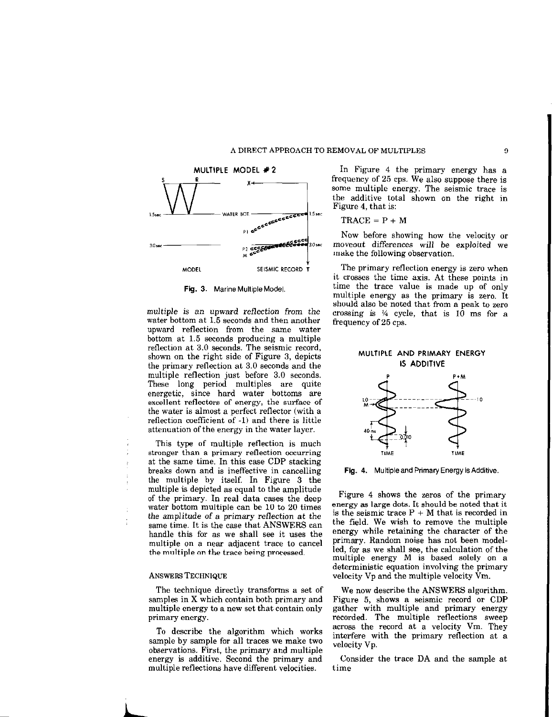



multiple is an upward reflection from the water bottom at 1.5 seconds and then another upward reflection from the same water bottom at 1.5 seconds producing a multiple reflection at 3.0 seconds. The seismic record, shown on the right side of Figure 3, depicts the primary reflection at 3.0 seconds and the multiple reflection just before 3.0 seconds. These long period multiples are quite energetic, since hard water bottoms are excellent reflectors of energy, the surface of the water is almost a perfect reflector (with a reflection coefficient of -1) and there is little attenuation of the energy in the water layer.

This type of multiple reflection is much stronger than a primary reflection occurring at the same time. In this case CDP stacking breaks down and is ineffective in cancelling the multiple by itself. In Figure 3 the multiple is depicted as equal to the amplitude of the primary. In real data cases the deep water bottom multiple can be 10 to 20 times the amplitude of a primary reflection at the same time. It is the case that ANSWERS can handle this for as we shall see it uses the multiple on a near adjacent trace to cancel the multiple on the trace being processed.

#### ANSWERS TECHNIQUE

The technique directly transforms a set of samples in X which contain both primary and multiple energy to a new set that contain only primary energy.

To describe the algorithm which works sample by sample for all traces we make two observations. First, the primary and multiple energy is additive. Second the primary and multiple reflections have different velocities.

MULTIPLE MODEL  $\neq 2$  In Figure 4 the primary energy has a frequency of 25 cps. We also suppose there is some multiple energy. The seismic trace is the additive total shown on the right in Figure 4, that is:

$$
TRACE = P + M
$$

Now before showing how the velocity or moveout differences will be exploited we make the following observation.

it crosses the time axis. At these points in Fig. 3. Marine Multiple Model. time the trace value is made up of only multiple energy as the primary is zero. It should also be noted that from a peak to zero crossing is  $\frac{1}{4}$  cycle, that is 10 ms for a frequency of 25 cps.

# MULTIPLE AND PRIMARY ENERGY IS ADDITIVE



Fig. 4. Multipleand Primary Energy is Additive.

Figure 4 shows the zeros of the primary energy as large dots. It should be noted that it is the seismic trace  $P + M$  that is recorded in the field. We wish to remove the multiple energy while retaining the character of the primary. Random noise has not been modelled, for as we shall see, the calculation of the multiple energy M is based solely on a deterministic equation involving the primary velocity Vp and the multiple velocity Vm.

We now describe the ANSWERS algorithm. Figure 5, shows a seismic record or GDP gather with multiple and primary energy recorded. The multiple reflections sweep across the record at a velocity Vm. They interfere with the primary reflection at a velocity Vp.

Consider the trace DA and the sample at time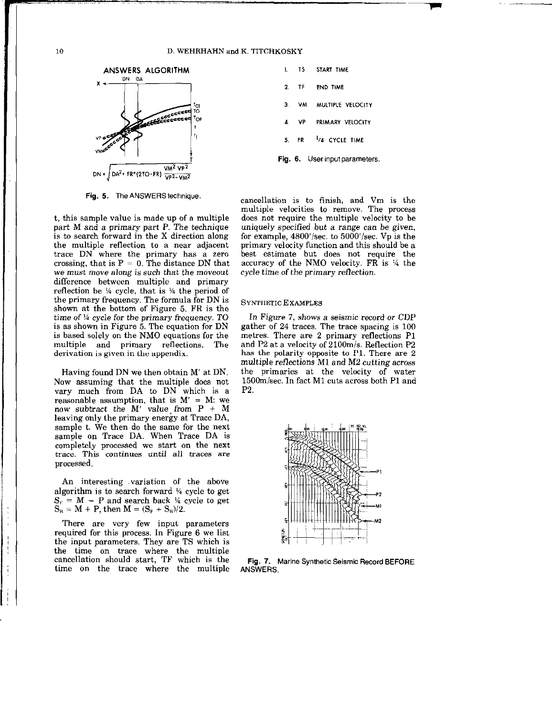#### 10 D. WEHRHAHN and K. TITCHKOSKY



Fig. 5. The ANSWERS technique.

t, this sample value is made up of a multiple part M and a primary part P. The technique is to search forward in the X direction along the multiple reflection to a near adjacent trace DN where the primary has a zero crossing, that is  $P = 0$ . The distance DN that we must move along is such that the moveout difference between multiple and primary reflection be  $\frac{1}{4}$  cycle, that is  $\frac{1}{4}$  the period of the primary frequency. The formula for DN is shown at the bottom of Figure 5. FR is the time of  $\frac{1}{4}$  cycle for the primary frequency. TO is as shown in Figure 5. The equation for DN is based solely on the NM0 equations for the multiple and primary reflections. The derivation is given in the appendix.

Having found DN we then obtain M' at DN. Now assuming that the multiple does not vary much from DA to DN which is a reasonable assumption, that is  $M' = M$ : we now subtract the M' value from  $P + M$ leaving only the primary energy at Trace DA, sample t. We then do the same for the next sample on Trace DA. When Trace DA is completely processed we start on the next trace. This continues until all traces are processed.

An interesting variation of the above algorithm is to search forward % cycle to get  $S_F = M - P$  and search back  $\frac{1}{4}$  cycle to get  $S_B = M + P$ , then  $M = (S_F + S_B)/2$ .

There are very few input parameters required for this process. In Figure 6 we list the input parameters. They are TS which is the time on trace where the multip cancellation should start, TF which is the time on the trace where the multiple

| L  |      | TS START TIME                 |
|----|------|-------------------------------|
| 2  |      | TF END TIME                   |
| З. |      | VM MULTIPLE VELOCITY          |
|    | 4 VP | PRIMARY VELOCITY              |
|    |      | 5. FR VA CYCLE TIME           |
|    |      | Fig. 6. User input parameters |

cancellation is to finish, and Vm is the multiple velocities to remove. The process does not require the multiple velocity to be uniquely specified but a range can be given, for example,  $4800'/sec$ . to  $5000'/sec$ . Vp is the primary velocity function and this should be a best estimate but does not require the accuracy of the NMO velocity.  $\overline{FR}$  is  $\frac{1}{4}$  the cycle time of the primary reflection.

### SYNTHETIC EXAMPLES

In Figure 7, shows a seismic record or CDP gather of 24 traces. The trace spacing is 100 metres. There are 2 primary reflections Pl and P2 at a velocity of  $2100m/s$ . Reflection P2 has the polarity opposite to Pl. There are 2 multiple reflections Ml and MZ cutting across the primaries at the velocity of water 150Omisec. In fact Ml cuts across both Pl and P2.



Fig. 7. Marine Synthetic Seismic Record BEFORE ANSWERS,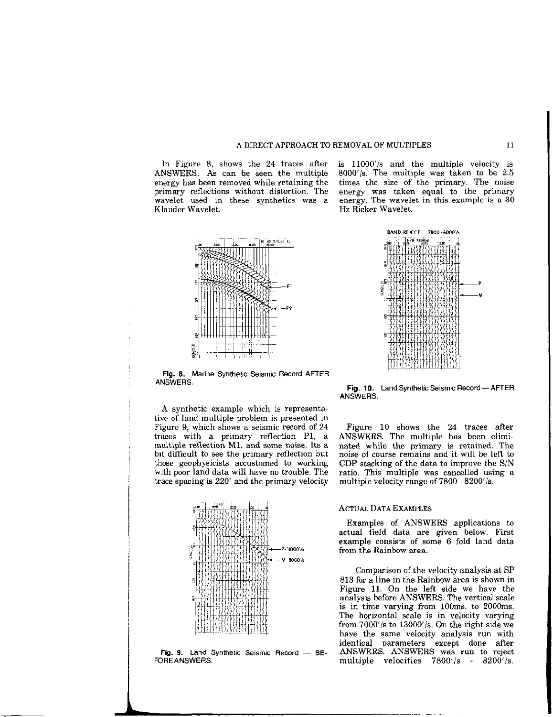### A DIRECT APPROACH TO REMOVAL OF MULTIPLES 11

primary reflections without distortion. The energy was taken equal to the primar Klauder Wavelet. Hz Ricker Wavelet.

 $\frac{1}{2}$ m  $\frac{1}{200}$  7/4.85 KL

Fig. 6. Marine Synthetic Seismic Record AFTER ANSWERS.

A synthetic example which is representative of land multiple problem is presented in Figure 9, which shows a seismic record of 24 traces with a primary reflection Pl, a multiple reflection Ml, and some noise. Its a bit difficult to see the primary reflection but those geophysicists accustomed to working with poor land data will have no trouble. The trace spacing is 220' and the primary velocity



In Figure 8, shows the 24 traces after is  $11000'/s$  and the multiple velocity is ANSWERS. As can be seen the multiple 8000'/s. The multiple was taken to be 2.5 energy has been removed while retaining the times the size of the primary. The noise primary reflections without distortion. The energy was taken equal to the primary wavelet used in these synthetics was a energy. The wavelet in this example is a 30



Fig. 10. Land Synthetic Seismic Record - AFTER ANSWERS.

Figure 10 shows the 24 traces after ANSWERS. The multiple has been eliminated while the primary is retained. The noise of course remains and it will be left to CDP stacking of the data to improve the S/N ratio. This multiple was cancelled using a multiple velocity range of 7800 - 8200'/s.

## ACTUAL DATA EXAMPLES

Examples of ANSWERS applications to actual field data are given below. First example consists of some 6 fold land data from the Rainbow area.

Comparison of the velocity analysis at SP 813 for a line in the Rainbow area is shown in Figure 11. On the left side we have the analysis before ANSWERS. The vertical scale is in time varying from 100ms. to 2000ms. The horizontal scale is in velocity varying from 7000'/s to 13000'/s. On the right side we have the same velocity analysis run with identical parameters except done after multiple velocities  $7800'/s$  -  $8200'/s$ .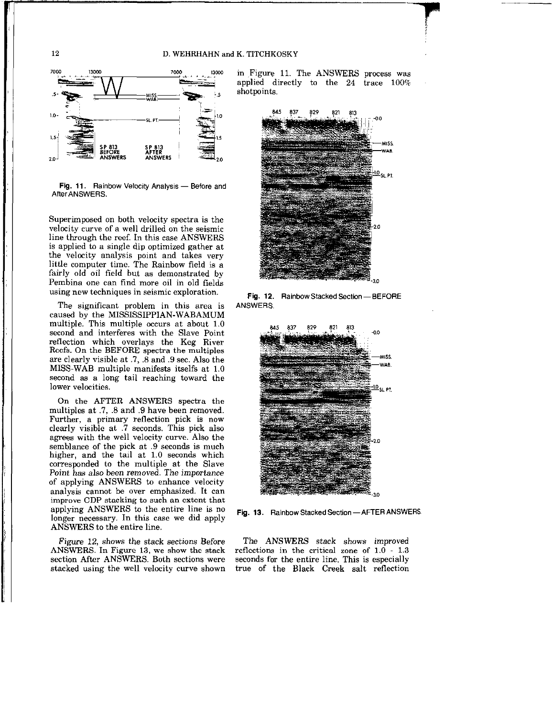#### D. WEHRHAHN and K. TITCHKOSKY



Fig. 11. Rainbow Velocity Analysis - Before and After ANSWERS.

Superimposed on both velocity spectra is the velocity curve of a well drilled on the seismic line through the reef. In this case ANSWERS is applied to a single dip optimized gather at the velocity analysis point and takes very little computer time. The Rainbow field is a fairly old oil field but as demonstrated by Pembina one can find more oil in old fields using new techniques in seismic exploration.

The significant problem in this area is caused by the MISSISSIPPIAN-WABA multiple. This multiple occurs at about 1.0 second and interferes with the Slave Point reflection which overlays the Keg River Reefs. On the BEFORE spectra the multiples are clearly visible at .7, .8 and .9 sec. Also the MISS-WAB multiple manifests itselfs at 1.0 second as a long tail reaching toward the lower velocities.

On the AFTER ANSWERS spectra the multiples at .7, .8 and .9 have been removed. Further, a primary reflection pick is now clearly visible at .7 seconds. This pick also agrees with the well velocity curve. Also the semblance of the pick at .9 seconds is much higher, and the tail at 1.0 seconds which corresponded to the multiple at the Slave Point has also been removed. The importance of applying ANSWERS to enhance velocity analysis cannot be over emphasized. It can improve CDP stacking to such an extent that applying ANSWERS to the entire line is no longer necessary. In this case we did apply ANSWERS to the entire line.

Figure 12, shows the stack sections Before ANSWERS. In Figure 13, we show the stack section After ANSWERS. Both sections were stacked using the well velocity curve shown in Figure 11. The ANSWERS process was applied directly to the 24 trace 100% shotpoints.



Fig. 12. Rainbow Stacked Section-BEFORE ANSWERS.



Fig. 13. Rainbow Stacked Section - AFTER ANSWERS.

The ANSWRS stack shows improved reflections in the critical zone of 1.0 - 1.3 seconds for the entire line. This is especially true of the Black Creek salt reflection

12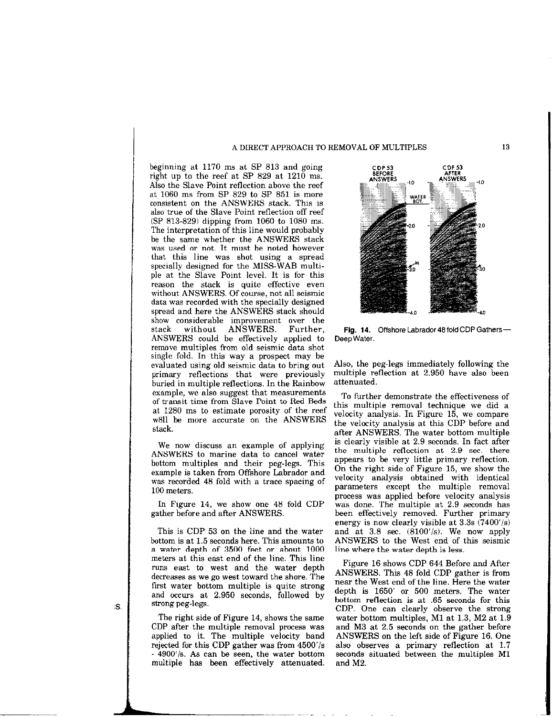#### A DIRECT APPROACH TO REMOVAL OF MULTIPLES 13

beginning at 1170 ms at SP 813 and going right up to the reef at SP 829 at 1210 ms. Also the Slave Point reflection above the reef at 1060 ms from SP 829 to SP 851 is more consistent on the ANSWERS stack. This is also true of the Slave Point reflection off reef (SP 813.829) dipping from 1060 to 1080 ms. The interpretation of this line would probably be the same whether the ANSWERS stack was used or not. It must be noted however that this line was shot using a spread specially designed for the MISS-WAB multiple at the Slave Point level. It is for this reason the stack is quite effective even without ANSWERS. Of course, not all seismic data was recorded with the specially designed spread and here the ANSWERS stack should show considerable improvement over the stack without ANSWERS. Further, ANSWERS could be effectively applied to remove multiples from old seismic data shot single fold. In this way a prospect may be evaluated using old seismic data to bring out primary reflections that were previously buried in multiple reflections. In the Rainbow example, we also suggest that measurements of transit time from Slave Point to Red Beds at 1280 ms to estimate porosity of the reef ~611 be more accurate on the ANSWERS stack.

We now discuss an example of applying ANSWERS to marine data to cancel water bottom multiples and their peg-legs. This example is taken from Offshore Labrador and was recorded 48 fold with a trace spacing of 100 meters.

In Figure 14, we show one 48 fold CDP gather before and after ANSWERS.

This is CDP 53 on the line and the water bottom is at 1.5 seconds here. This amounts to a water depth of 3500 feet or about 1000 meters at this east end of the line. This line runs east to west and the water depth decreases as we go west toward the shore. The first water bottom multiple is quite strong and occurs at 2.950 seconds, followed by strong peg-legs.

The right side of Figure 14, shows the same CDP after the multiple removal process was applied to it. The multiple velocity band rejected for this CDP gather was from  $4500'/s$ - 4900'/s. As can be seen, the water bottom multiple has been effectively attenuated.



Fig. 14. Offshore Labrador 48 fold CDP Gathers-Deep Water.

Also, the peg-legs immediately following the multiple reflection at 2.950 have also been attenuated.

To further demonstrate the effectiveness of this multiple removal technique we did a velocity analysis. In Figure 15, we compare the velocity analysis at this CDP before and after ANSWERS. The water bottom multiple is clearly visible at 2.9 seconds. In fact after the multiple reflection at 2.9 sec. there appears to be very little primary reflection. On the right side of Figure 15, we show the velocity analysis obtained with identical parameters except the multiple removal process was applied before velocity analysis was done. The multiple at 2.9 seconds has been effectively removed. Further primary energy is now clearly visible at  $3.3s$   $(7400'/s)$ and at  $3.8$  sec.  $(8100'/s)$ . We now apply ANSWERS to the West end of this seismic line where the water depth is less.

Figure 16 shows CDP 644 Before and After ANSWERS. This 48 fold CDP gather is from near the West end of the line. Here the water depth is 1650' or 500 meters. The water bottom reflection is at .65 seconds for this CDP. One can clearly observe the strong water bottom multiples, Ml at 1.3, M2 at 1.9 and M3 at 2.5 seconds on the gather before ANSWERS on the left side of Figure 16. One also observes a primary reflection at 1.7 seconds situated between the multiples Ml and M2.

iS.

l----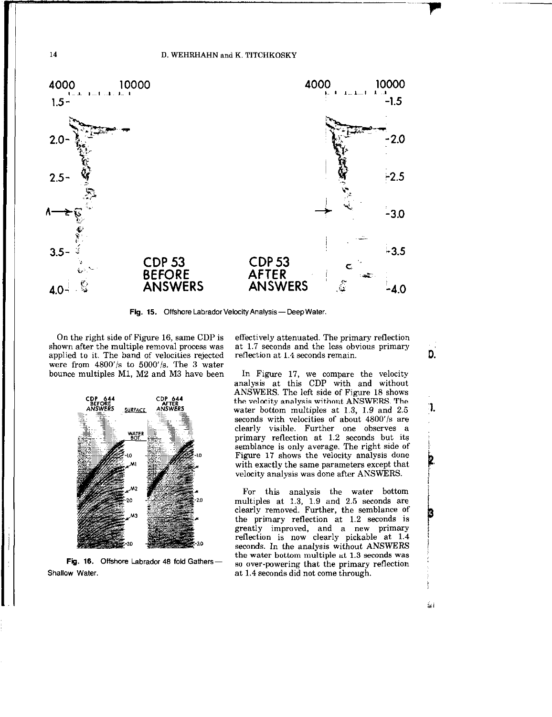

Fig. 15. Offshore Labrador Velocity Analysis-Deep Water.

On the right side of Figure 16, same CDP is shown after the multiple removal process was applied to it. The band of velocities rejected were from  $4800'/s$  to  $5000'/s$ . The 3 water bounce multiples Ml, M2 and M3 have been



Fig. 16. Offshore Labrador 48 fold Gathers-Shallow Water.

effectively attenuated. The primary reflection at 1.7 seconds and the less obvious primary reflection at 1.4 seconds remain.

D.

:1.

أنعشأ

In Figure 17, we compare the velocity analysis at this CDP with and without ANSWERS. The left side of Figure 18 shows the velocity analysis without ANSWERS. The water bottom multiples at 1.3, 1.9 and 2.5 seconds with velocities of about 4800'/s are clearly visible. Further one observes a primary reflection at 1.2 seconds but its semblance is only average. The right side of Figure 17 shows the velocity analysis done with exactly the same parameters except that velocity analysis was done after ANSWERS.

For this analysis the water bottom multiples at 1.3, 1.9 and 2.5 seconds are clearly removed. Further, the semblance of the primary reflection at 1.2 seconds is greatly improved, and a new primary reflection is now clearly pickable at 1.4 seconds. In the analysis without ANSWERS the water bottom multiple at 1.3 seconds was so over-powering that the primary reflection at 1.4 seconds did not come through.

14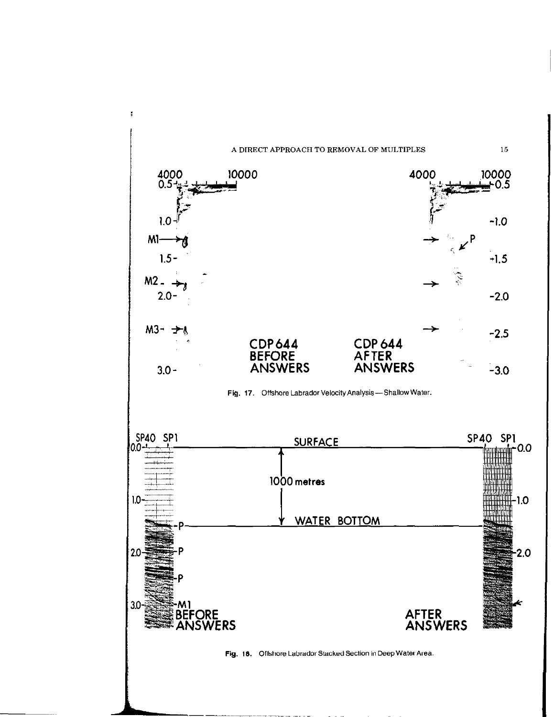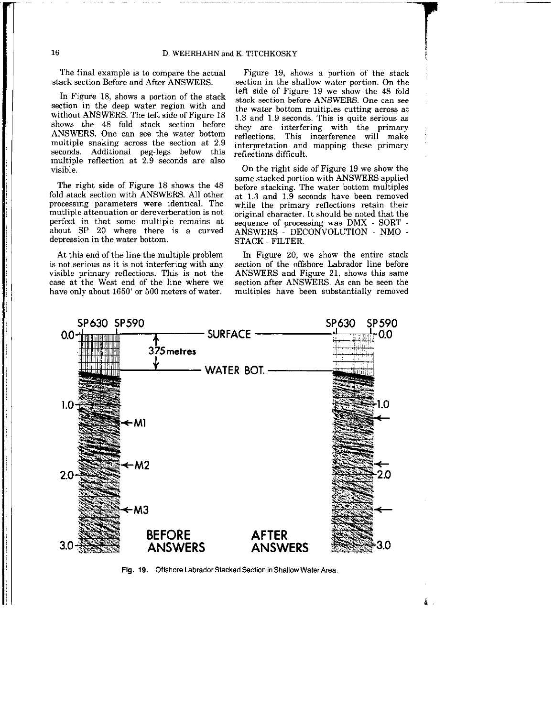The final example is to compare the actual stack section Before and After ANSWERS.

-. - ~.

In Figure 18, shows a portion of the stack section in the deep water region with and without ANSWERS. The left side of Figure 18 shows the 48 fold stack section before ANSWERS. One can see the water bottom multiple snaking across the section at 2.9 seconds. Additional peg-legs below this multiple reflection at 2.9 seconds are also visible.

The right side of Figure 18 shows the 48 fold stack section with ANSWERS. All other processing parameters were identical. The mutliple attenuation or dereverberation is not perfect in that some multiple remains at about SP 20 where there is a curved depression in the water bottom.

is not serious as it is not interfering with any section of the offshore Labrador line before visible primary reflections. This is not the ANSWERS and Figure 21, shows this same visible primary reflections. This is not the ANSWERS and Figure 21, shows this same case at the West end of the line where we section after ANSWERS. As can be seen the have only about 1650' or 500 meters of water. multiples have been substantially removed have only about 1650' or 500 meters of water.

Figure 19, shows a portion of the stack section in the shallow water portion. On the left side of Figure 19 we show the 48 fold stack section before ANSWERS. One can see the water bottom multiples cutting across at 1.3 and 1.9 seconds. This is quite serious as they are interfering with the primary reflections. This interference will make interpretation and mapping these primary reflections difficult.

On the right side of Figure 19 we show the same stacked portion with ANSWERS applied before stacking. The water bottom multiples at 1.3 and 1.9 seconds have been removed while the primary reflections retain their original character. It should be noted that the sequence of processing was DMX - SORT -ANSWERS - DECONVOLUTION - NMO -STACK - FILTER.

At this end of the line the multiple problem In Figure 20, we show the entire stack not serious as it is not interfering with any section of the offshore Labrador line before

Ě.



Fig. 19. Offshore Labrador Stacked Section in Shallow Water Area.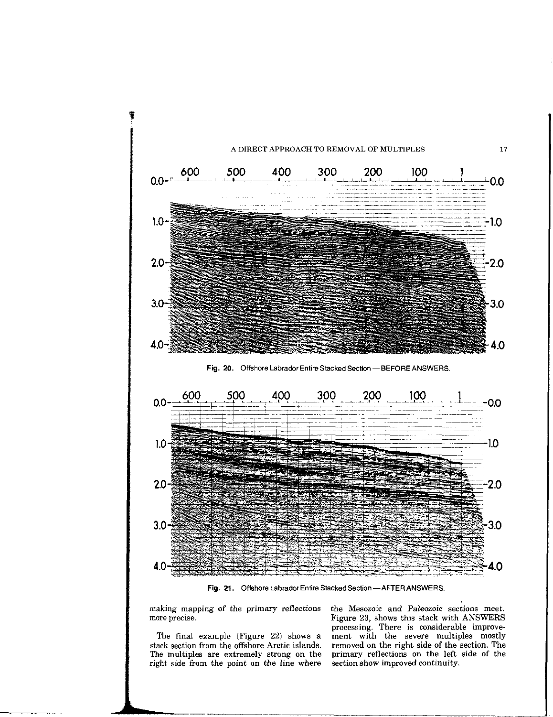

Fig. 21. Offshore Labrador Entire Stacked Section-AFTER ANSWERS.

The final example (Figure  $22$ ) shows a right side from the point on the line where

--

making mapping of the primary reflections the Mesozoic and Paleozoic sections meet.<br>
Figure 23, shows this stack with ANSWERS Figure 23, shows this stack with ANSWERS processing. There is considerable improve-<br>ment with the severe multiples mostly stack section from the offshore Arctic islands. removed on the right side of the section. The The multiples are extremely strong on the primary reflections on the left side of the primary reflections on the left side of the section show improved continuity.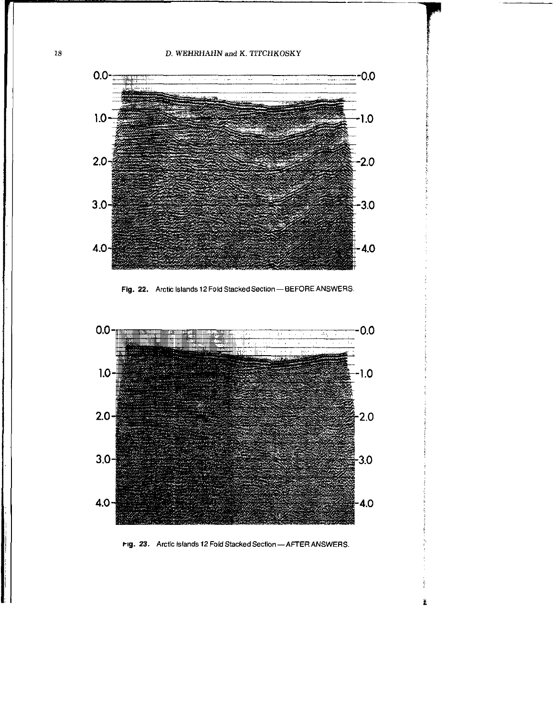

Fig. 22. Arctic Islands 12 Fold Stacked Section - BEFORE ANSWERS.



Fig. 23. Arctic Islands 12 Fold Stacked Section - AFTER ANSWERS.

Í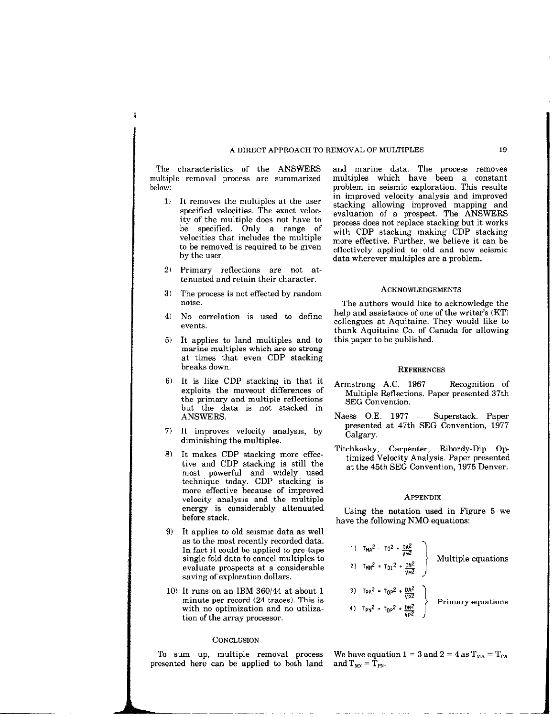# A DIRECT APPROACH TO REMOVAL OF MULTIPLES 19

The characteristics of the ANSWERS multiple removal process are summarized below:

- 1) It removes the multiples at the user specified velocities. The exact velocity of the multiple does not have to be specified. Only a range of velocities that includes the multiple to be removed is required to be given by the user.
- 2) Primary reflections are not attenuated and retain their character.
- 3) The process is not effected by random noise.
- 4) No correlation is used to define events
- 5) It applies to land multiples and to marine multiples which are so strong at times that even CDP stacking breaks down.
- 6) It is like CDP stacking in that it exploits the moveout differences of the primary and multiple reflections but the data is not stacked in ANSWERS.
- 7) It improves velocity analysis, by diminishing the multiples.
- 8) It makes CDP stacking more effective and CDP stacking is still the most powerful and widely used technique today. CDP stacking is more effective because of improved velocity analysis and the multiple energy is considerably attenuated before stack.
- 9) It applies to old seismic data as well as to the most recently recorded data. In fact it could be applied to pre-tape single fold data to cancel multiples to evaluate prospects at a considerable saving of exploration dollars.
- 10) It runs on an IBM  $360/44$  at about 1 minute per record (24 traces). This is with no optimization and no utilization of the array processor.

# **CONCLUSION**

presented here can be applied to both land

and marine data. The process removes multiples which have been a constant problem in seismic exploration. This results in improved velocity analysis and improved stacking allowing improved mapping and evaluation of a prospect. The ANSWERS process does not replace stacking but it works with CDP stacking making CDP stacking more effective. Further, we believe it can be effectively applied to old and new seismic data wherever multiples are a problem.

### ACKNOWLEDGEMENTS

The authors would like to acknowledge the help and assistance of one of the writer's (KT) colleagues at Aquitaine. They would like to thank Aquitaine Co. of Canada for allowing this paper to be published.

#### **REFERENCES**

- Armstrong A.C.  $1967$  Recognition of Multiple Reflections. Paper presented 37th SEG Convention.
- Naess O.E. 1977 Superstack. Paper presented at 47th SEG Convention, 1977 Calgary.
- Titchkosky, Carpenter, Ribordy-Dip Optimized Velocity Analysis. Paper presented at the 45th SEG Convention, 1975 Denver.

# APPENDIX

Using the notation used in Figure 5 we have the following NM0 equations:

1) 
$$
T_{MA}^2 = T0^2 + \frac{DA^2}{VH^2}
$$
  
\n2)  $T_{MN}^2 = T01^2 + \frac{DM^2}{VH^2}$   
\n3)  $T_{PA}^2 = T_{OP}^2 + \frac{DA^2}{VP^2}$   
\n4)  $T_{PN}^2 = T_{OP}^2 + \frac{OM^2}{VP^2}$   
\n  
\nPrimary equations

To sum up, multiple removal process We have equation  $1 = 3$  and  $2 = 4$  as  $T_{MA} = T_{PA}$  resented here can be applied to both land and  $T_{MN} = T_{PN}$ .